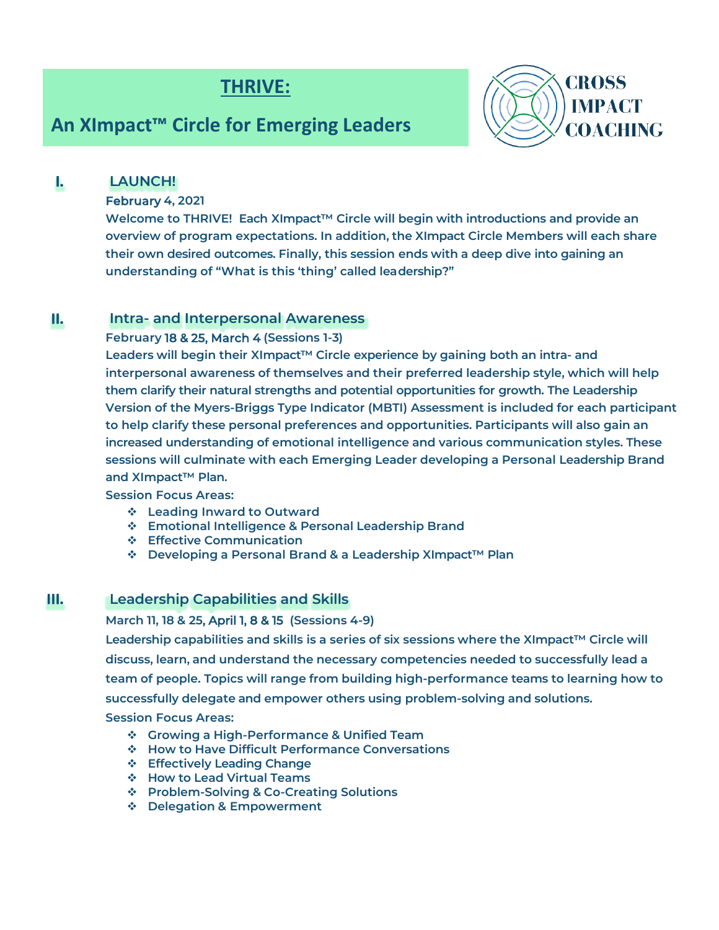# **THRIVE:**

# **An XImpact™ Circle for Emerging Leaders**



## **I. LAUNCH!**

## February **4, 2021**

**Welcome to THRIVE! Each XImpact™ Circle will begin with introductions and provide an overview of program expectations. In addition, the XImpact Circle Members will each share their own desired outcomes. Finally, this session ends with a deep dive into gaining an understanding of "What is this 'thing' called leadership?"**

## **II. Intra- and Interpersonal Awareness**

## **February** 18 & 25, March 4 **(Sessions 1-3)**

**Leaders will begin their XImpact™ Circle experience by gaining both an intra- and interpersonal awareness of themselves and their preferred leadership style, which will help them clarify their natural strengths and potential opportunities for growth. The Leadership Version of the Myers-Briggs Type Indicator (MBTI) Assessment is included for each participant to help clarify these personal preferences and opportunities. Participants will also gain an increased understanding of emotional intelligence and various communication styles. These sessions will culminate with each Emerging Leader developing a Personal Leadership Brand and XImpact™ Plan.**

### **Session Focus Areas:**

- **Leading Inward to Outward**
- **Emotional Intelligence & Personal Leadership Brand**
- **Effective Communication**
- **Developing a Personal Brand & a Leadership XImpact™ Plan**

## **III. Leadership Capabilities and Skills**

## **March 11, 18 & 25**, April 1, 8 & 15 **(Sessions 4-9)**

**Leadership capabilities and skills is a series of six sessions where the XImpact™ Circle will discuss, learn, and understand the necessary competencies needed to successfully lead a team of people. Topics will range from building high-performance teams to learning how to successfully delegate and empower others using problem-solving and solutions.**

### **Session Focus Areas:**

- **Growing a High-Performance & Unified Team**
- **How to Have Difficult Performance Conversations**
- **Effectively Leading Change**
- **How to Lead Virtual Teams**
- **Problem-Solving & Co-Creating Solutions**
- **Delegation & Empowerment**